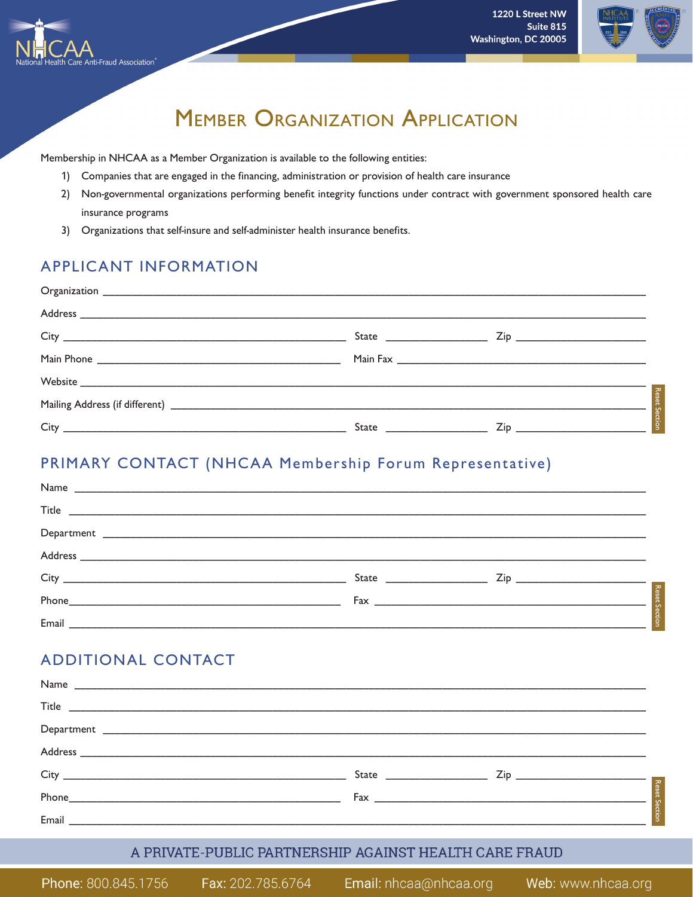



# **MEMBER ORGANIZATION APPLICATION**

Membership in NHCAA as a Member Organization is available to the following entities:

- 1) Companies that are engaged in the financing, administration or provision of health care insurance
- 2) Non-governmental organizations performing benefit integrity functions under contract with government sponsored health care insurance programs
- 3) Organizations that self-insure and self-administer health insurance benefits.

## **APPLICANT INFORMATION**

**Fraud Association** 

# PRIMARY CONTACT (NHCAA Membership Forum Representative)

| $\begin{tabular}{c} \bf{Title} \end{tabular} \begin{tabular}{p{0.8cm} \begin{tabular}{p{0.8cm} \begin{tabular}{p{0.8cm} \begin{tabular}{p{0.8cm} \begin{tabular}{p{0.8cm} \begin{tabular}{p{0.8cm} \begin{tabular}{p{0.8cm} \begin{tabular}{p{0.8cm} \begin{tabular}{p{0.8cm} \begin{tabular}{p{0.8cm} \begin{tabular}{p{0.8cm} \begin{tabular}{p{0.8cm} \begin{tabular}{p{0.8cm} \begin{tabular}{p{0.8cm} \quad \quad \quad \quad \quad \quad \quad \quad \quad \$ |  |                      |
|---------------------------------------------------------------------------------------------------------------------------------------------------------------------------------------------------------------------------------------------------------------------------------------------------------------------------------------------------------------------------------------------------------------------------------------------------------------------|--|----------------------|
|                                                                                                                                                                                                                                                                                                                                                                                                                                                                     |  |                      |
|                                                                                                                                                                                                                                                                                                                                                                                                                                                                     |  |                      |
|                                                                                                                                                                                                                                                                                                                                                                                                                                                                     |  |                      |
|                                                                                                                                                                                                                                                                                                                                                                                                                                                                     |  | <b>Reset Section</b> |
| Email                                                                                                                                                                                                                                                                                                                                                                                                                                                               |  |                      |

# **ADDITIONAL CONTACT**

|                                                                                                               | $\begin{array}{c c c c c} \hline \text{State} & \text{Zip} & \text{Xip} & \text{Xip} & \text{Xip} \\ \hline \hline \end{array}$ |
|---------------------------------------------------------------------------------------------------------------|---------------------------------------------------------------------------------------------------------------------------------|
|                                                                                                               |                                                                                                                                 |
| Email and the contract of the contract of the contract of the contract of the contract of the contract of the |                                                                                                                                 |

### A PRIVATE-PUBLIC PARTNERSHIP AGAINST HEALTH CARE FRAUD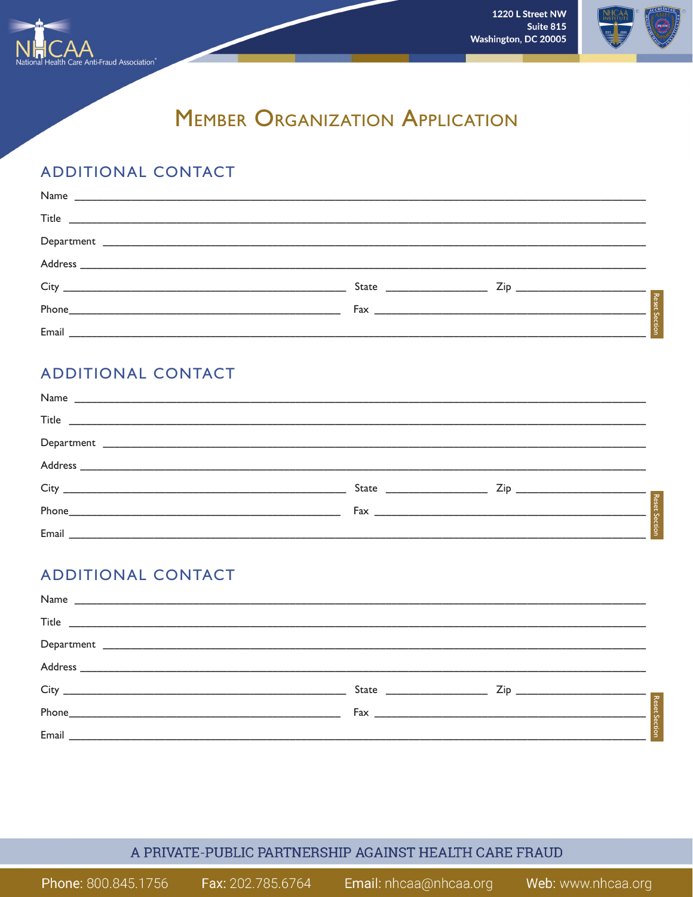

1220 L Street NW Suite 815 Washington, DC 20005



# **MEMBER ORGANIZATION APPLICATION**

# **ADDITIONAL CONTACT**

# **ADDITIONAL CONTACT**

| $\begin{tabular}{c} \bf{Title} \end{tabular} \begin{tabular}{p{0.8cm} \begin{tabular}{p{0.8cm} \begin{tabular}{p{0.8cm} \begin{tabular}{p{0.8cm} \begin{tabular}{p{0.8cm} \begin{tabular}{p{0.8cm} \begin{tabular}{p{0.8cm} \begin{tabular}{p{0.8cm} \begin{tabular}{p{0.8cm} \begin{tabular}{p{0.8cm} \begin{tabular}{p{0.8cm} \begin{tabular}{p{0.8cm} \begin{tabular}{p{0.8cm} \quad \quad \quad \quad \quad \quad \quad \quad \quad \quad \quad \quad \quad \quad \quad \quad$ |  |
|------------------------------------------------------------------------------------------------------------------------------------------------------------------------------------------------------------------------------------------------------------------------------------------------------------------------------------------------------------------------------------------------------------------------------------------------------------------------------------|--|
|                                                                                                                                                                                                                                                                                                                                                                                                                                                                                    |  |
|                                                                                                                                                                                                                                                                                                                                                                                                                                                                                    |  |
|                                                                                                                                                                                                                                                                                                                                                                                                                                                                                    |  |
|                                                                                                                                                                                                                                                                                                                                                                                                                                                                                    |  |
|                                                                                                                                                                                                                                                                                                                                                                                                                                                                                    |  |

# **ADDITIONAL CONTACT**

| $\begin{tabular}{c} Department \end{tabular} \begin{tabular}{p{3.5cm} \begin{tabular}{p{3.5cm} \begin{tabular}{p{3.5cm} \begin{tabular}{p{3.5cm} \begin{tabular}{p{3.5cm} \begin{tabular}{p{3.5cm} \begin{tabular}{p{3.5cm} \begin{tabular}{p{3.5cm} \begin{tabular}{p{3.5cm} \begin{tabular}{p{3.5cm} \begin{tabular}{p{3.5cm} \begin{tabular}{p{3.5cm} \begin{tabular}{p{3.5cm} \end{tabular} \end{tabular} \end{tabular} \end{tabular} \end{tabular} \end{tabular}$ |                                                                                                                                                                                                                                      |
|------------------------------------------------------------------------------------------------------------------------------------------------------------------------------------------------------------------------------------------------------------------------------------------------------------------------------------------------------------------------------------------------------------------------------------------------------------------------|--------------------------------------------------------------------------------------------------------------------------------------------------------------------------------------------------------------------------------------|
|                                                                                                                                                                                                                                                                                                                                                                                                                                                                        |                                                                                                                                                                                                                                      |
|                                                                                                                                                                                                                                                                                                                                                                                                                                                                        |                                                                                                                                                                                                                                      |
| Phone <b>Phone Contract Contract Contract Contract Contract Contract Contract Contract Contract Contract Contract Contract Contract Contract Contract Contract Contract Contract Contract Contract Contract Contract Contract </b>                                                                                                                                                                                                                                     | State <u>Cipers Cipers Cipers Cipers Cipers Cipers Cipers Cipers Cipers Cipers Cipers Cipers Cipers Cipers Cipers Cipers Cipers Cipers Cipers Cipers Cipers Cipers Cipers Cipers Cipers Cipers Cipers Cipers Cipers Cipers Ciper</u> |
|                                                                                                                                                                                                                                                                                                                                                                                                                                                                        |                                                                                                                                                                                                                                      |

## A PRIVATE-PUBLIC PARTNERSHIP AGAINST HEALTH CARE FRAUD